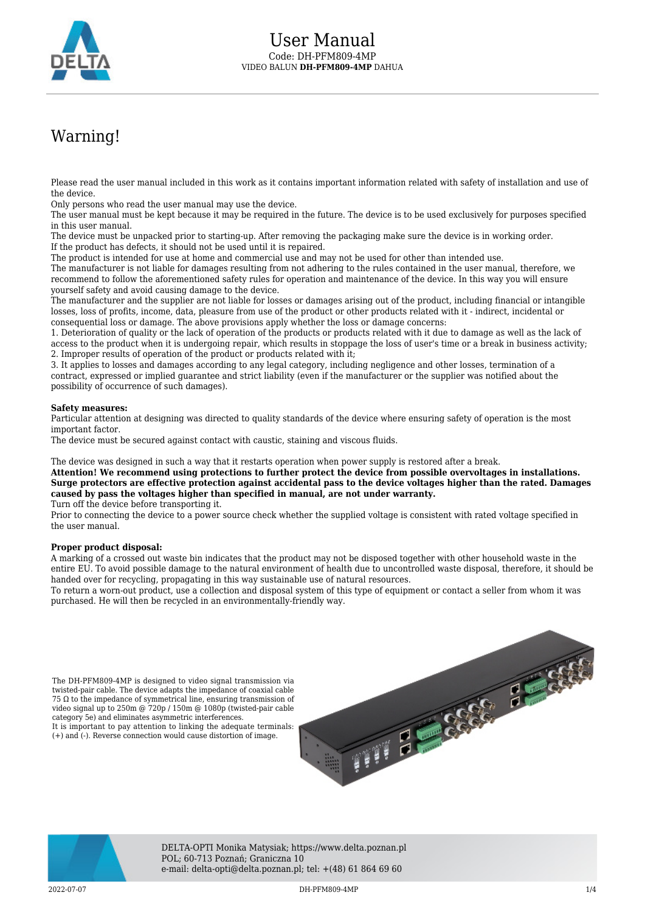

## Warning!

Please read the user manual included in this work as it contains important information related with safety of installation and use of the device.

Only persons who read the user manual may use the device.

The user manual must be kept because it may be required in the future. The device is to be used exclusively for purposes specified in this user manual.

The device must be unpacked prior to starting-up. After removing the packaging make sure the device is in working order. If the product has defects, it should not be used until it is repaired.

The product is intended for use at home and commercial use and may not be used for other than intended use.

The manufacturer is not liable for damages resulting from not adhering to the rules contained in the user manual, therefore, we recommend to follow the aforementioned safety rules for operation and maintenance of the device. In this way you will ensure yourself safety and avoid causing damage to the device.

The manufacturer and the supplier are not liable for losses or damages arising out of the product, including financial or intangible losses, loss of profits, income, data, pleasure from use of the product or other products related with it - indirect, incidental or consequential loss or damage. The above provisions apply whether the loss or damage concerns:

1. Deterioration of quality or the lack of operation of the products or products related with it due to damage as well as the lack of access to the product when it is undergoing repair, which results in stoppage the loss of user's time or a break in business activity; 2. Improper results of operation of the product or products related with it;

3. It applies to losses and damages according to any legal category, including negligence and other losses, termination of a contract, expressed or implied guarantee and strict liability (even if the manufacturer or the supplier was notified about the possibility of occurrence of such damages).

## **Safety measures:**

Particular attention at designing was directed to quality standards of the device where ensuring safety of operation is the most important factor.

The device must be secured against contact with caustic, staining and viscous fluids.

The device was designed in such a way that it restarts operation when power supply is restored after a break.

**Attention! We recommend using protections to further protect the device from possible overvoltages in installations. Surge protectors are effective protection against accidental pass to the device voltages higher than the rated. Damages caused by pass the voltages higher than specified in manual, are not under warranty.**

Turn off the device before transporting it.

Prior to connecting the device to a power source check whether the supplied voltage is consistent with rated voltage specified in the user manual.

## **Proper product disposal:**

A marking of a crossed out waste bin indicates that the product may not be disposed together with other household waste in the entire EU. To avoid possible damage to the natural environment of health due to uncontrolled waste disposal, therefore, it should be handed over for recycling, propagating in this way sustainable use of natural resources.

To return a worn-out product, use a collection and disposal system of this type of equipment or contact a seller from whom it was purchased. He will then be recycled in an environmentally-friendly way.

The DH-PFM809-4MP is designed to video signal transmission via twisted-pair cable. The device adapts the impedance of coaxial cable 75 Ω to the impedance of symmetrical line, ensuring transmission of video signal up to 250m @ 720p / 150m @ 1080p (twisted-pair cable category 5e) and eliminates asymmetric interferences. It is important to pay attention to linking the adequate terminals: (+) and (-). Reverse connection would cause distortion of image.





DELTA-OPTI Monika Matysiak; https://www.delta.poznan.pl POL; 60-713 Poznań; Graniczna 10 e-mail: delta-opti@delta.poznan.pl; tel: +(48) 61 864 69 60

2022-07-07 DH-PFM809-4MP 1/4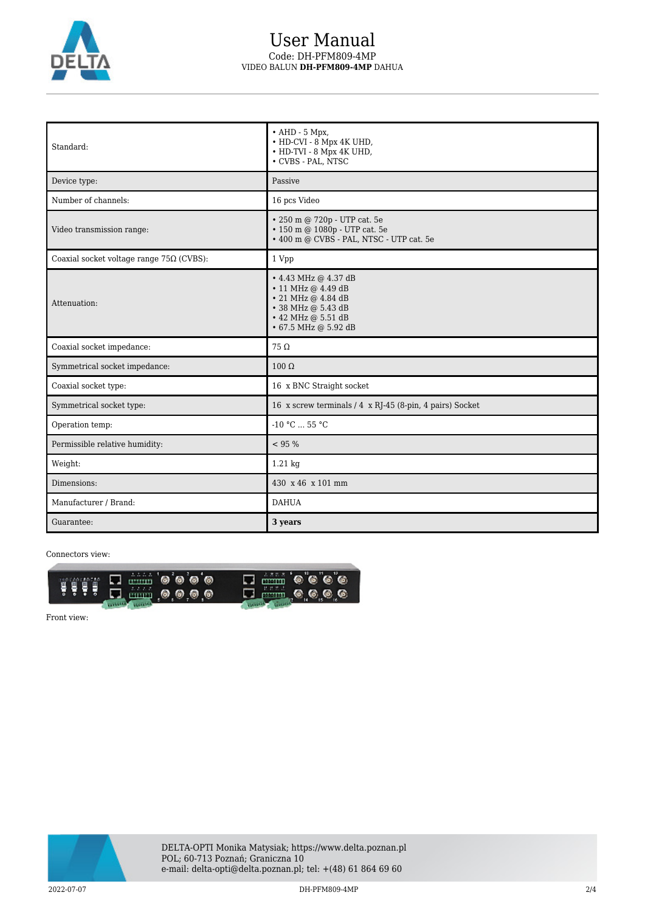

## User Manual Code: DH-PFM809-4MP VIDEO BALUN **DH-PFM809-4MP** DAHUA

| Standard:                                       | $\bullet$ AHD - 5 Mpx,<br>• HD-CVI - 8 Mpx 4K UHD,<br>• HD-TVI - 8 Mpx 4K UHD,<br>• CVBS - PAL, NTSC                                                         |
|-------------------------------------------------|--------------------------------------------------------------------------------------------------------------------------------------------------------------|
| Device type:                                    | Passive                                                                                                                                                      |
| Number of channels:                             | 16 pcs Video                                                                                                                                                 |
| Video transmission range:                       | • 250 m @ 720p - UTP cat. 5e<br>• 150 m @ 1080p - UTP cat. 5e<br>• 400 m @ CVBS - PAL, NTSC - UTP cat. 5e                                                    |
| Coaxial socket voltage range $75\Omega$ (CVBS): | 1 Vpp                                                                                                                                                        |
| Attenuation:                                    | $\cdot$ 4.43 MHz @ 4.37 dB<br>$\cdot$ 11 MHz @ 4.49 dB<br>$\cdot$ 21 MHz @ 4.84 dB<br>• 38 MHz @ 5.43 dB<br>$\cdot$ 42 MHz @ 5.51 dB<br>• 67.5 MHz @ 5.92 dB |
| Coaxial socket impedance:                       | $75\Omega$                                                                                                                                                   |
| Symmetrical socket impedance:                   | $100 \Omega$                                                                                                                                                 |
| Coaxial socket type:                            | 16 x BNC Straight socket                                                                                                                                     |
| Symmetrical socket type:                        | 16 x screw terminals / 4 x RJ-45 (8-pin, 4 pairs) Socket                                                                                                     |
| Operation temp:                                 | $-10$ °C $\ldots$ 55 °C                                                                                                                                      |
| Permissible relative humidity:                  | < 95 %                                                                                                                                                       |
| Weight:                                         | 1.21 kg                                                                                                                                                      |
| Dimensions:                                     | 430 x 46 x 101 mm                                                                                                                                            |
| Manufacturer / Brand:                           | <b>DAHUA</b>                                                                                                                                                 |
| Guarantee:                                      | 3 years                                                                                                                                                      |

Connectors view:



Front view:

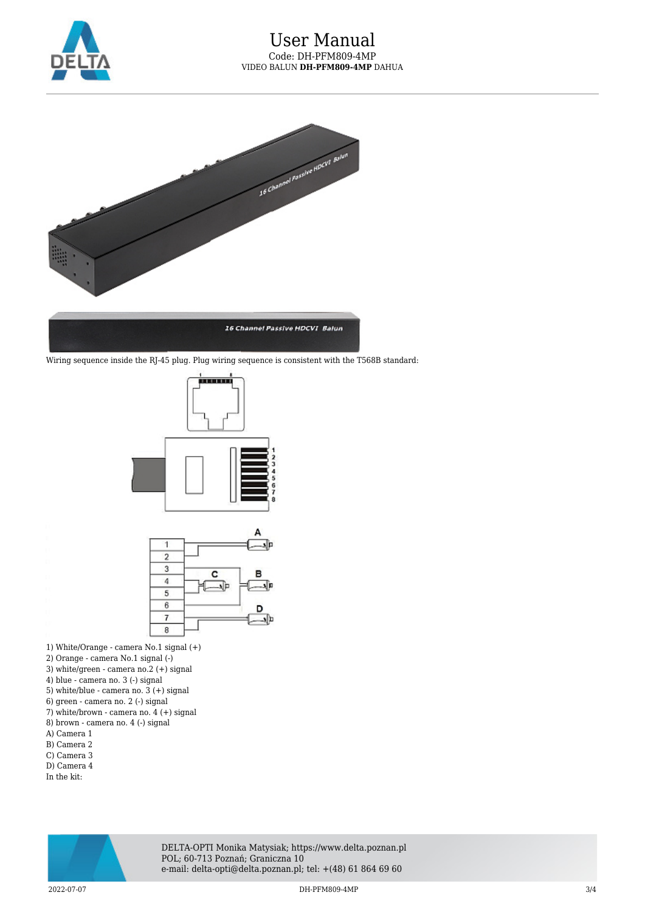



Wiring sequence inside the RJ-45 plug. Plug wiring sequence is consistent with the T568B standard:





- 1) White/Orange camera No.1 signal (+)
- 2) Orange camera No.1 signal (-)
- 3) white/green camera no.2 (+) signal
- 4) blue camera no. 3 (-) signal
- 5) white/blue camera no. 3 (+) signal
- 6) green camera no. 2 (-) signal
- 7) white/brown camera no. 4 (+) signal
- 8) brown camera no. 4 (-) signal A) Camera 1
- B) Camera 2
- C) Camera 3
- D) Camera 4
- In the kit:



DELTA-OPTI Monika Matysiak; https://www.delta.poznan.pl POL; 60-713 Poznań; Graniczna 10 e-mail: delta-opti@delta.poznan.pl; tel: +(48) 61 864 69 60

2022-07-07 DH-PFM809-4MP 3/4